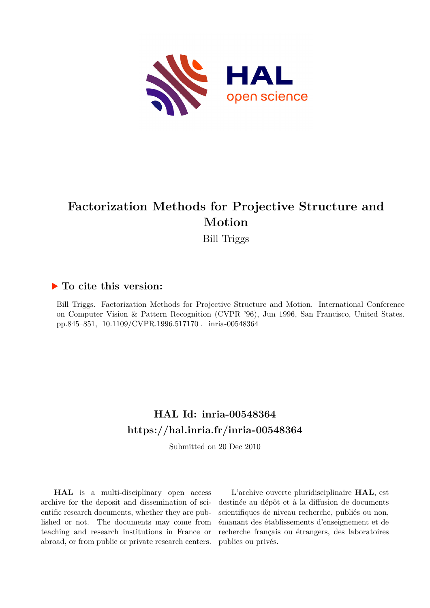

# **Factorization Methods for Projective Structure and Motion**

Bill Triggs

## **To cite this version:**

Bill Triggs. Factorization Methods for Projective Structure and Motion. International Conference on Computer Vision & Pattern Recognition (CVPR '96), Jun 1996, San Francisco, United States. pp.845-851, 10.1109/CVPR.1996.517170. inria-00548364

# **HAL Id: inria-00548364 <https://hal.inria.fr/inria-00548364>**

Submitted on 20 Dec 2010

**HAL** is a multi-disciplinary open access archive for the deposit and dissemination of scientific research documents, whether they are published or not. The documents may come from teaching and research institutions in France or abroad, or from public or private research centers.

L'archive ouverte pluridisciplinaire **HAL**, est destinée au dépôt et à la diffusion de documents scientifiques de niveau recherche, publiés ou non, émanant des établissements d'enseignement et de recherche français ou étrangers, des laboratoires publics ou privés.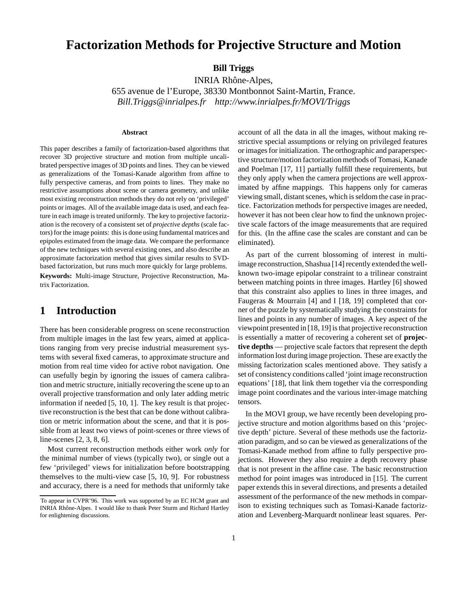# **Factorization Methods for Projective Structure and Motion**

**Bill Triggs**

INRIA Rhône-Alpes, 655 avenue de l'Europe, 38330 Montbonnot Saint-Martin, France. *Bill.Triggs@inrialpes.fr http://www.inrialpes.fr/MOVI/Triggs*

#### **Abstract**

This paper describes a family of factorization-based algorithms that recover 3D projective structure and motion from multiple uncalibrated perspective images of 3D points and lines. They can be viewed as generalizations of the Tomasi-Kanade algorithm from affine to fully perspective cameras, and from points to lines. They make no restrictive assumptions about scene or camera geometry, and unlike most existing reconstruction methods they do not rely on 'privileged' points or images. All of the available image data is used, and each feature in each image is treated uniformly. The key to projective factorization is the recovery of a consistent set of *projective depths* (scale factors) for the image points: this is done using fundamental matrices and epipoles estimated from the image data. We compare the performance of the new techniques with several existing ones, and also describe an approximate factorization method that gives similar results to SVDbased factorization, but runs much more quickly for large problems. **Keywords:** Multi-image Structure, Projective Reconstruction, Matrix Factorization.

## **1 Introduction**

There has been considerable progress on scene reconstruction from multiple images in the last few years, aimed at applications ranging from very precise industrial measurement systems with several fixed cameras, to approximate structure and motion from real time video for active robot navigation. One can usefully begin by ignoring the issues of camera calibration and metric structure, initially recovering the scene up to an overall projective transformation and only later adding metric information if needed [5, 10, 1]. The key result is that projective reconstruction is the best that can be done without calibration or metric information about the scene, and that it is possible from at least two views of point-scenes or three views of line-scenes [2, 3, 8, 6].

Most current reconstruction methods either work *only* for the minimal number of views (typically two), or single out a few 'privileged' views for initialization before bootstrapping themselves to the multi-view case [5, 10, 9]. For robustness and accuracy, there is a need for methods that uniformly take

account of all the data in all the images, without making restrictive special assumptions or relying on privileged features or images for initialization. The orthographic and paraperspective structure/motion factorization methods of Tomasi, Kanade and Poelman [17, 11] partially fulfill these requirements, but they only apply when the camera projections are well approximated by affine mappings. This happens only for cameras viewing small, distant scenes, which is seldom the case in practice. Factorization methods for perspective images are needed, however it has not been clear how to find the unknown projective scale factors of the image measurements that are required for this. (In the affine case the scales are constant and can be eliminated).

As part of the current blossoming of interest in multiimage reconstruction, Shashua [14] recently extended the wellknown two-image epipolar constraint to a trilinear constraint between matching points in three images. Hartley [6] showed that this constraint also applies to lines in three images, and Faugeras & Mourrain [4] and I [18, 19] completed that corner of the puzzle by systematically studying the constraints for lines and points in any number of images. A key aspect of the viewpoint presented in [18, 19] is that projective reconstruction is essentially a matter of recovering a coherent set of **projective depths** — projective scale factors that represent the depth information lost during image projection. These are exactly the missing factorization scales mentioned above. They satisfy a set of consistency conditions called 'joint image reconstruction equations' [18], that link them together via the corresponding image point coordinates and the various inter-image matching tensors.

In the MOVI group, we have recently been developing projective structure and motion algorithms based on this 'projective depth' picture. Several of these methods use the factorization paradigm, and so can be viewed as generalizations of the Tomasi-Kanade method from affine to fully perspective projections. However they also require a depth recovery phase that is not present in the affine case. The basic reconstruction method for point images was introduced in [15]. The current paper extends this in several directions, and presents a detailed assessment of the performance of the new methods in comparison to existing techniques such as Tomasi-Kanade factorization and Levenberg-Marquardt nonlinear least squares. Per-

To appear in CVPR'96. This work was supported by an EC HCM grant and INRIA Rhône-Alpes. I would like to thank Peter Sturm and Richard Hartley for enlightening discussions.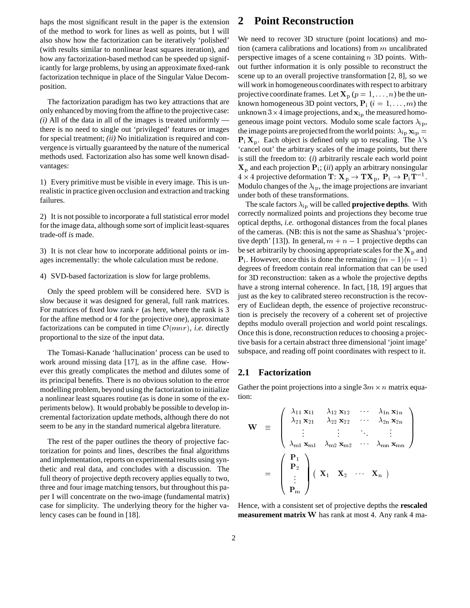haps the most significant result in the paper is the extension of the method to work for lines as well as points, but I will also show how the factorization can be iteratively 'polished' (with results similar to nonlinear least squares iteration), and how any factorization-based method can be speeded up significantly for large problems, by using an approximate fixed-rank factorization technique in place of the Singular Value Decomposition.

The factorization paradigm has two key attractions that are only enhanced by moving from the affine to the projective case:  $(i)$  All of the data in all of the images is treated uniformly  $$ there is no need to single out 'privileged' features or images for special treatment; *(ii)* No initialization is required and convergence is virtually guaranteed by the nature of the numerical methods used. Factorization also has some well known disadvantages:

1) Every primitive must be visible in every image. This is unrealistic in practice given occlusion and extraction and tracking failures.

2) It is not possible to incorporate a full statistical error model for the image data, although some sort of implicit least-squares trade-off *is* made.

3) It is not clear how to incorporate additional points or images incrementally: the whole calculation must be redone.

4) SVD-based factorization is slow for large problems.

Only the speed problem will be considered here. SVD is slow because it was designed for general, full rank matrices. For matrices of fixed low rank  $r$  (as here, where the rank is 3 for the affine method or 4 for the projective one), approximate factorizations can be computed in time  $\mathcal{O}(mnr)$ , *i.e.* directly proportional to the size of the input data.

The Tomasi-Kanade 'hallucination' process can be used to work around missing data [17], as in the affine case. However this greatly complicates the method and dilutes some of its principal benefits. There is no obvious solution to the error modelling problem, beyond using the factorization to initialize a nonlinear least squares routine (as is done in some of the experiments below). It would probably be possible to develop incremental factorization update methods, although there do not seem to be any in the standard numerical algebra literature.

The rest of the paper outlines the theory of projective factorization for points and lines, describes the final algorithms and implementation, reports on experimental results using synthetic and real data, and concludes with a discussion. The full theory of projective depth recovery applies equally to two, three and four image matching tensors, but throughout this paper I will concentrate on the two-image (fundamental matrix) case for simplicity. The underlying theory for the higher valency cases can be found in [18].

### **2 Point Reconstruction**

We need to recover 3D structure (point locations) and motion (camera calibrations and locations) from  $m$  uncalibrated perspective images of a scene containing <sup>n</sup> 3D points. Without further information it is only possible to reconstruct the scene up to an overall projective transformation [2, 8], so we will work in homogeneous coordinates with respect to arbitrary projective coordinate frames. Let  $X_p$   $(p = 1, \ldots, n)$  be the unknown homogeneous 3D point vectors,  $P_i$  ( $i = 1, \ldots, m$ ) the unknown  $3 \times 4$  image projections, and  $\mathbf{x}_{ip}$  the measured homogeneous image point vectors. Modulo some scale factors  $\lambda_{ip}$ , the image points are projected from the world points:  $\lambda_{ip} x_{ip} =$  $P_i X_p$ . Each object is defined only up to rescaling. The  $\lambda$ 's 'cancel out' the arbitrary scales of the image points, but there is still the freedom to: (*i*) arbitrarily rescale each world point  $\mathbf{X}_p$  and each projection  $\mathbf{P}_i$ ; (*ii*) apply an arbitrary nonsingular  $4 \times 4$  projective deformation T:  $\mathbf{X}_{\mathrm{p}} \to \mathbf{T} \mathbf{X}_{\mathrm{p}}$ ,  $\mathbf{P}_{\mathrm{i}} \to \mathbf{P}_{\mathrm{i}} \mathbf{T}^{-1}$ . Modulo changes of the  $\lambda_{ip}$ , the image projections are invariant under both of these transformations.

The scale factors  $\lambda_{ip}$  will be called **projective depths**. With correctly normalized points and projections they become true optical depths, *i.e.* orthogonal distances from the focal planes of the cameras. (NB: this is not the same as Shashua's 'projective depth' [13]). In general,  $m + n - 1$  projective depths can be set arbitrarily by choosing appropriate scales for the  $X_p$  and  $P_i$ . However, once this is done the remaining  $(m - 1)(n - 1)$ degrees of freedom contain real information that can be used for 3D reconstruction: taken as a whole the projective depths have a strong internal coherence. In fact, [18, 19] argues that just as the key to calibrated stereo reconstruction is the recovery of Euclidean depth, the essence of projective reconstruction is precisely the recovery of a coherent set of projective depths modulo overall projection and world point rescalings. Once this is done, reconstruction reduces to choosing a projective basis for a certain abstract three dimensional 'joint image' subspace, and reading off point coordinates with respect to it.

#### **2.1 Factorization**

Gather the point projections into a single  $3m \times n$  matrix equation:

$$
\mathbf{W} = \begin{pmatrix}\n\lambda_{11} \mathbf{x}_{11} & \lambda_{12} \mathbf{x}_{12} & \cdots & \lambda_{1n} \mathbf{x}_{1n} \\
\lambda_{21} \mathbf{x}_{21} & \lambda_{22} \mathbf{x}_{22} & \cdots & \lambda_{2n} \mathbf{x}_{2n} \\
\vdots & \vdots & \ddots & \vdots \\
\lambda_{m1} \mathbf{x}_{m1} & \lambda_{m2} \mathbf{x}_{m2} & \cdots & \lambda_{mn} \mathbf{x}_{mn}\n\end{pmatrix}
$$
\n
$$
= \begin{pmatrix}\n\mathbf{P}_1 \\
\mathbf{P}_2 \\
\vdots \\
\mathbf{P}_m\n\end{pmatrix} (\mathbf{X}_1 \mathbf{X}_2 \cdots \mathbf{X}_n)
$$

Hence, with a consistent set of projective depths the **rescaled measurement matrix** <sup>W</sup> has rank at most 4. Any rank 4 ma-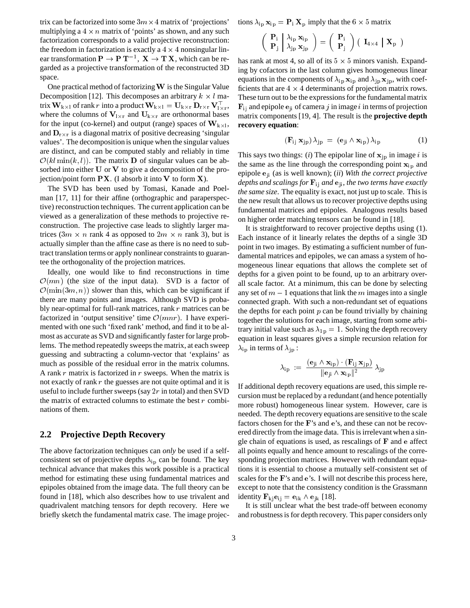trix can be factorized into some  $3m \times 4$  matrix of 'projections' multiplying a  $4 \times n$  matrix of 'points' as shown, and any such factorization corresponds to a valid projective reconstruction: the freedom in factorization is exactly a  $4 \times 4$  nonsingular linear transformation  $P \to P\, T^{-1},\ X \to T\, X$ , which can be regarded as a projective transformation of the reconstructed 3D space.

One practical method of factorizing  $W$  is the Singular Value Decomposition [12]. This decomposes an arbitrary  $k \times l$  matrix  $\mathbf{W}_{k\times 1}$  of rank r into a product  $\mathbf{W}_{k\times 1} = \mathbf{U}_{k\times r} \, \mathbf{D}_{r\times r} \, \mathbf{V}_{l\times r}^{\top}$ where the columns of  $V_{1\times r}$  and  $U_{k\times r}$  are orthonormal bases for the input (co-kernel) and output (range) spaces of  $W_{k \times l}$ , and  $\mathbf{D}_{r\times r}$  is a diagonal matrix of positive decreasing 'singular values'. The decomposition is unique when the singular values are distinct, and can be computed stably and reliably in time  $\mathcal{O}(kl \min(k, l))$ . The matrix **D** of singular values can be absorbed into either  **or**  $**V**$  **to give a decomposition of the pro**jection/point form  $\mathbf{PX}$ . (I absorb it into  $\mathbf V$  to form  $\mathbf X$ ).

The SVD has been used by Tomasi, Kanade and Poelman [17, 11] for their affine (orthographic and paraperspective) reconstruction techniques. The current application can be viewed as a generalization of these methods to projective reconstruction. The projective case leads to slightly larger matrices  $(3m \times n$  rank 4 as opposed to  $2m \times n$  rank 3), but is actually simpler than the affine case as there is no need to subtract translation terms or apply nonlinear constraints to guarantee the orthogonality of the projection matrices.

Ideally, one would like to find reconstructions in time  $\mathcal{O}(mn)$  (the size of the input data). SVD is a factor of  $\mathcal{O}(\min(3m, n))$  slower than this, which can be significant if there are many points and images. Although SVD is probably near-optimal for full-rank matrices, rank  $r$  matrices can be factorized in 'output sensitive' time  $\mathcal{O}(mnr)$ . I have experimented with one such 'fixed rank' method, and find it to be almost as accurate as SVD and significantly faster for large problems. The method repeatedly sweeps the matrix, at each sweep guessing and subtracting a column-vector that 'explains' as much as possible of the residual error in the matrix columns. A rank  $r$  matrix is factorized in  $r$  sweeps. When the matrix is not exactly of rank  $r$  the guesses are not quite optimal and it is useful to include further sweeps (say  $2r$  in total) and then SVD the matrix of extracted columns to estimate the best  $r$  combinations of them.

#### **2.2 Projective Depth Recovery**

The above factorization techniques can *only* be used if a selfconsistent set of projective depths  $\lambda_{ip}$  can be found. The key technical advance that makes this work possible is a practical method for estimating these using fundamental matrices and epipoles obtained from the image data. The full theory can be found in [18], which also describes how to use trivalent and quadrivalent matching tensors for depth recovery. Here we briefly sketch the fundamental matrix case. The image projections  $\lambda_{\rm ip}$   ${\bf x}_{\rm ip} = {\bf P}_{\rm i}$   ${\bf X}_{\rm p}$  imply that the 6  $\times$  5 matrix

$$
\left(\begin{array}{c|c}\mathbf{P}_i & \lambda_{ip} \mathbf{x}_{ip} \\ \mathbf{P}_j & \lambda_{jp} \mathbf{x}_{jp}\end{array}\right) = \left(\begin{array}{c|c}\mathbf{P}_i \\ \mathbf{P}_j\end{array}\right) \left(\begin{array}{c|c}\mathbf{I}_{4 \times 4} & \mathbf{X}_{p}\end{array}\right)
$$

has rank at most 4, so all of its  $5 \times 5$  minors vanish. Expanding by cofactors in the last column gives homogeneous linear equations in the components of  $\lambda_{ip}$   $\mathbf{x}_{ip}$  and  $\lambda_{jp}$   $\mathbf{x}_{jp}$ , with coefficients that are  $4 \times 4$  determinants of projection matrix rows. These turn out to be the expressions for the fundamental matrix  $\mathbf{F}_{ii}$  and epipole  $\mathbf{e}_{ii}$  of camera j in image i in terms of projection matrix components [19, 4]. The result is the **projective depth recovery equation**:

$$
(\mathbf{F}_{ij} \mathbf{x}_{jp}) \lambda_{jp} = (\mathbf{e}_{ji} \wedge \mathbf{x}_{ip}) \lambda_{ip} \tag{1}
$$

This says two things: (*i*) The epipolar line of  $x_{ip}$  in image *i* is the same as the line through the corresponding point  $x_{ip}$  and epipole eji (as is well known); (*ii*) *With the correct projective depths and scalings for* Fij *and* eji*, the two terms have exactly the same size*. The equality is exact, not just up to scale. This is the new result that allows us to recover projective depths using fundamental matrices and epipoles. Analogous results based on higher order matching tensors can be found in [18].

It is straightforward to recover projective depths using (1). Each instance of it linearly relates the depths of a single 3D point in two images. By estimating a sufficient number of fundamental matrices and epipoles, we can amass a system of homogeneous linear equations that allows the complete set of depths for a given point to be found, up to an arbitrary overall scale factor. At a minimum, this can be done by selecting any set of  $m - 1$  equations that link the m images into a single connected graph. With such a non-redundant set of equations the depths for each point  $p$  can be found trivially by chaining together the solutions for each image, starting from some arbitrary initial value such as  $\lambda_{1p} = 1$ . Solving the depth recovery equation in least squares gives a simple recursion relation for  $\lambda_{\rm ip}$  in terms of  $\lambda_{\rm jp}$ :

$$
\lambda_{\mathrm{ip}}\ :=\ \frac{(\mathbf{e}_{\mathrm{ji}}\wedge\mathbf{x}_{\mathrm{ip}})\cdot(\mathbf{F}_{\mathrm{ij}}\,\mathbf{x}_{\mathrm{jp}})}{\|\mathbf{e}_{\mathrm{ji}}\wedge\mathbf{x}_{\mathrm{ip}}\|^2}\,\lambda_{\mathrm{jp}}
$$

If additional depth recovery equations are used, this simple recursion must be replaced by a redundant (and hence potentially more robust) homogeneous linear system. However, care is needed. The depth recovery equations are sensitive to the scale factors chosen for the <sup>F</sup>'s and <sup>e</sup>'s, and these can not be recovered directly from the image data. This is irrelevant when a single chain of equations is used, as rescalings of <sup>F</sup> and <sup>e</sup> affect all points equally and hence amount to rescalings of the corresponding projection matrices. However with redundant equations it is essential to choose a mutually self-consistent set of scales for the <sup>F</sup>'s and <sup>e</sup>'s. I will not describe this process here, except to note that the consistency condition is the Grassmann identity  $\mathbf{F}_{k i} \mathbf{e}_{i j} = \mathbf{e}_{i k} \wedge \mathbf{e}_{j k}$  [18].

It is still unclear what the best trade-off between economy and robustness is for depth recovery. This paper considers only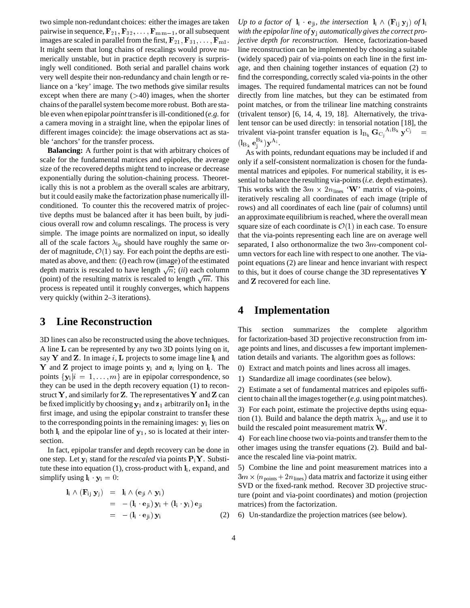two simple non-redundant choices: either the images are taken pairwise in sequence,  $\mathbf{F}_{21}, \mathbf{F}_{32}, \ldots, \mathbf{F}_{m(m-1)}$ , or all subsequent images are scaled in parallel from the first,  $\mathbf{F}_{21}, \mathbf{F}_{31}, \ldots, \mathbf{F}_{m1}$ . It might seem that long chains of rescalings would prove numerically unstable, but in practice depth recovery is surprisingly well conditioned. Both serial and parallel chains work very well despite their non-redundancy and chain length or reliance on a 'key' image. The two methods give similar results except when there are many  $($ >40) images, when the shorter chains of the parallel system become more robust. Both are stable even when epipolar *point*transfer is ill-conditioned (*e.g.*for a camera moving in a straight line, when the epipolar lines of different images coincide): the image observations act as stable 'anchors' for the transfer process.

**Balancing:** A further point is that with arbitrary choices of scale for the fundamental matrices and epipoles, the average size of the recovered depths might tend to increase or decrease exponentially during the solution-chaining process. Theoretically this is not a problem as the overall scales are arbitrary, but it could easily make the factorization phase numerically illconditioned. To counter this the recovered matrix of projective depths must be balanced after it has been built, by judicious overall row and column rescalings. The process is very simple. The image points are normalized on input, so ideally all of the scale factors  $\lambda_{ip}$  should have roughly the same order of magnitude,  $\mathcal{O}(1)$  say. For each point the depths are estimated as above, and then: (*i*) each row (image) of the estimated depth matrix is rescaled to have length  $\sqrt{n}$ ; (*ii*) each column (point) of the resulting matrix is rescaled to length  $\sqrt{m}$ . This process is repeated until it roughly converges, which happens very quickly (within 2–3 iterations).

## **3 Line Reconstruction**

3D lines can also be reconstructed using the above techniques. A line <sup>L</sup> can be represented by any two 3D points lying on it, say Y and Z. In image  $i$ , L projects to some image line  $\mathbf{l}_i$  and Y and Z project to image points  $y_i$  and  $z_i$  lying on  $l_i$ . The points  $\{y_i | i = 1, \ldots, m\}$  are in epipolar correspondence, so they can be used in the depth recovery equation (1) to reconstruct Y, and similarly for Z. The representatives Y and Z can be fixed implicitly by choosing  $y_1$  and  $z_1$  arbitrarily on  $l_1$  in the first image, and using the epipolar constraint to transfer these to the corresponding points in the remaining images:  $y_i$  lies on both  $\mathbf{l}_i$  and the epipolar line of  $\mathbf{y}_1$ , so is located at their intersection.

In fact, epipolar transfer and depth recovery can be done in one step. Let  $y_i$  stand for the *rescaled* via points  $P_iY$ . Substitute these into equation  $(1)$ , cross-product with  $\mathbf{l}_i$ , expand, and simplify using  $\mathbf{l}_i \cdot \mathbf{y}_i = 0$ :

$$
\begin{array}{rcl}\n\mathbf{l}_i \wedge (\mathbf{F}_{ij} \ \mathbf{y}_j) & = & \mathbf{l}_i \wedge (\mathbf{e}_{ji} \wedge \mathbf{y}_i) \\
& = & -(\mathbf{l}_i \cdot \mathbf{e}_{ji}) \ \mathbf{y}_i + (\mathbf{l}_i \cdot \mathbf{y}_i) \ \mathbf{e}_{ji} \\
& = & -(\mathbf{l}_i \cdot \mathbf{e}_{ji}) \ \mathbf{y}_i\n\end{array}\n\tag{2}
$$

*Up to a factor of*  $\mathbf{l}_i \cdot \mathbf{e}_{ji}$ *, the intersection*  $\mathbf{l}_i \wedge (\mathbf{F}_{ij} \mathbf{y}_j)$  *of*  $\mathbf{l}_i$ *with the epipolar line of* yj *automatically gives the correct projective depth for reconstruction.* Hence, factorization-based line reconstruction can be implemented by choosing a suitable (widely spaced) pair of via-points on each line in the first image, and then chaining together instances of equation (2) to find the corresponding, correctly scaled via-points in the other images. The required fundamental matrices can not be found directly from line matches, but they can be estimated from point matches, or from the trilinear line matching constraints (trivalent tensor) [6, 14, 4, 19, 18]. Alternatively, the trivalent tensor can be used directly: in tensorial notation [18], the trivalent via-point transfer equation is  $l_{B_k}$   $G_{C_i}$ <sup>A<sub>i</sub>B<sub>k</sub></sup>  $y^{C_j}$  =  $(l_{B_k} e_j^{B_k}) \mathbf{y}^{A_i}.$ 

As with points, redundant equations may be included if and only if a self-consistent normalization is chosen for the fundamental matrices and epipoles. For numerical stability, it is essential to balance the resulting via-points (*i.e.* depth estimates). This works with the  $3m \times 2n_{\text{lines}}$  'W' matrix of via-points, iteratively rescaling all coordinates of each image (triple of rows) and all coordinates of each line (pair of columns) until an approximate equilibrium is reached, where the overall mean square size of each coordinate is  $\mathcal{O}(1)$  in each case. To ensure that the via-points representing each line are on average well separated, I also orthonormalize the two 3m-component column vectors for each line with respect to one another. The viapoint equations (2) are linear and hence invariant with respect to this, but it does of course change the 3D representatives <sup>Y</sup> and <sup>Z</sup> recovered for each line.

## **4 Implementation**

This section summarizes the complete algorithm for factorization-based 3D projective reconstruction from image points and lines, and discusses a few important implementation details and variants. The algorithm goes as follows:

0) Extract and match points and lines across all images.

1) Standardize all image coordinates (see below).

2) Estimate a set of fundamental matrices and epipoles sufficient to chain all the images together (*e.g.* using point matches). 3) For each point, estimate the projective depths using equation (1). Build and balance the depth matrix  $\lambda_{\rm in}$ , and use it to build the rescaled point measurement matrix <sup>W</sup>.

4) For each line choose two via-points and transfer them to the other images using the transfer equations (2). Build and balance the rescaled line via-point matrix.

5) Combine the line and point measurement matrices into a  $3m \times (n_{\text{points}} + 2n_{\text{lines}})$  data matrix and factorize it using either SVD or the fixed-rank method. Recover 3D projective structure (point and via-point coordinates) and motion (projection matrices) from the factorization.

6) Un-standardize the projection matrices (see below).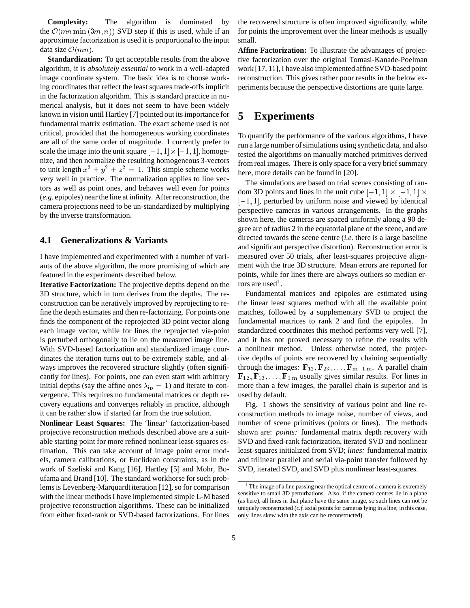**Complexity:** The algorithm is dominated by the  $\mathcal{O}(mn \min(3m, n))$  SVD step if this is used, while if an approximate factorization is used it is proportional to the input data size  $\mathcal{O}(mn)$ .

**Standardization:** To get acceptable results from the above algorithm, it is *absolutely essential* to work in a well-adapted image coordinate system. The basic idea is to choose working coordinates that reflect the least squares trade-offs implicit in the factorization algorithm. This is standard practice in numerical analysis, but it does not seem to have been widely known in vision until Hartley [7] pointed out its importance for fundamental matrix estimation. The exact scheme used is not critical, provided that the homogeneous working coordinates are all of the same order of magnitude. I currently prefer to scale the image into the unit square  $[-1, 1] \times [-1, 1]$ , homogenize, and then normalize the resulting homogeneous 3-vectors to unit length  $x^2 + y^2 + z^2 = 1$ . This simple scheme works very well in practice. The normalization applies to line vectors as well as point ones, and behaves well even for points (*e.g.* epipoles) near the line at infinity. After reconstruction, the camera projections need to be un-standardized by multiplying by the inverse transformation.

#### **4.1 Generalizations & Variants**

I have implemented and experimented with a number of variants of the above algorithm, the more promising of which are featured in the experiments described below.

**Iterative Factorization:** The projective depths depend on the 3D structure, which in turn derives from the depths. The reconstruction can be iteratively improved by reprojecting to refine the depth estimates and then re-factorizing. For points one finds the component of the reprojected 3D point vector along each image vector, while for lines the reprojected via-point is perturbed orthogonally to lie on the measured image line. With SVD-based factorization and standardized image coordinates the iteration turns out to be extremely stable, and always improves the recovered structure slightly (often significantly for lines). For points, one can even start with arbitrary initial depths (say the affine ones  $\lambda_{\rm ip} = 1$ ) and iterate to convergence. This requires no fundamental matrices or depth recovery equations and converges reliably in practice, although it can be rather slow if started far from the true solution.

**Nonlinear Least Squares:** The 'linear' factorization-based projective reconstruction methods described above are a suitable starting point for more refined nonlinear least-squares estimation. This can take account of image point error models, camera calibrations, or Euclidean constraints, as in the work of Szeliski and Kang [16], Hartley [5] and Mohr, Boufama and Brand [10]. The standard workhorse for such problems is Levenberg-Marquardt iteration [12], so for comparison with the linear methods I have implemented simple L-M based projective reconstruction algorithms. These can be initialized from either fixed-rank or SVD-based factorizations. For lines

the recovered structure is often improved significantly, while for points the improvement over the linear methods is usually small.

**Affine Factorization:** To illustrate the advantages of projective factorization over the original Tomasi-Kanade-Poelman work [17, 11], I have also implemented affine SVD-based point reconstruction. This gives rather poor results in the below experiments because the perspective distortions are quite large.

### **5 Experiments**

To quantify the performance of the various algorithms, I have run a large number of simulations using synthetic data, and also tested the algorithms on manually matched primitives derived from real images. There is only space for a very brief summary here, more details can be found in [20].

The simulations are based on trial scenes consisting of random 3D points and lines in the unit cube  $[-1, 1] \times [-1, 1] \times$  $[-1, 1]$ , perturbed by uniform noise and viewed by identical perspective cameras in various arrangements. In the graphs shown here, the cameras are spaced uniformly along a 90 degree arc of radius 2 in the equatorial plane of the scene, and are directed towards the scene centre (*i.e.* there is a large baseline and significant perspective distortion). Reconstruction error is measured over 50 trials, after least-squares projective alignment with the true 3D structure. Mean errors are reported for points, while for lines there are always outliers so median errors are used<sup>1</sup>.

Fundamental matrices and epipoles are estimated using the linear least squares method with all the available point matches, followed by a supplementary SVD to project the fundamental matrices to rank 2 and find the epipoles. In standardized coordinates this method performs very well [7], and it has not proved necessary to refine the results with a nonlinear method. Unless otherwise noted, the projective depths of points are recovered by chaining sequentially through the images:  $\mathbf{F}_{12}$ ,  $\mathbf{F}_{23}$ , ...,  $\mathbf{F}_{m-1 m}$ . A parallel chain  $\mathbf{F}_{12}, \mathbf{F}_{13}, \ldots, \mathbf{F}_{1 \text{ m}}$  usually gives similar results. For lines in more than a few images, the parallel chain is superior and is used by default.

Fig. 1 shows the sensitivity of various point and line reconstruction methods to image noise, number of views, and number of scene primitives (points or lines). The methods shown are: *points:* fundamental matrix depth recovery with SVD and fixed-rank factorization, iterated SVD and nonlinear least-squares initialized from SVD; *lines:* fundamental matrix and trilinear parallel and serial via-point transfer followed by SVD, iterated SVD, and SVD plus nonlinear least-squares.

<sup>&</sup>lt;sup>1</sup> The image of a line passing near the optical centre of a camera is extremely sensitive to small 3D perturbations. Also, if the camera centres lie in a plane (as here), all lines in that plane have the same image, so such lines can not be uniquely reconstructed (*c.f.* axial points for cameras lying in a line; in this case, only lines skew with the axis can be reconstructed).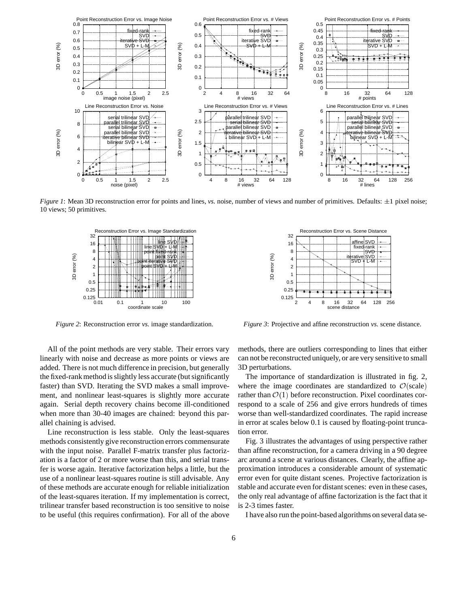

*Figure 1*: Mean 3D reconstruction error for points and lines, *vs.* noise, number of views and number of primitives. Defaults:  $\pm 1$  pixel noise; 10 views; 50 primitives.



*Figure 2*: Reconstruction error *vs.* image standardization.

All of the point methods are very stable. Their errors vary linearly with noise and decrease as more points or views are added. There is not much difference in precision, but generally the fixed-rank method is slightly less accurate (but significantly faster) than SVD. Iterating the SVD makes a small improvement, and nonlinear least-squares is slightly more accurate again. Serial depth recovery chains become ill-conditioned when more than 30-40 images are chained: beyond this parallel chaining is advised.

Line reconstruction is less stable. Only the least-squares methods consistently give reconstruction errors commensurate with the input noise. Parallel F-matrix transfer plus factorization is a factor of 2 or more worse than this, and serial transfer is worse again. Iterative factorization helps a little, but the use of a nonlinear least-squares routine is still advisable. Any of these methods are accurate enough for reliable initialization of the least-squares iteration. If my implementation is correct, trilinear transfer based reconstruction is too sensitive to noise to be useful (this requires confirmation). For all of the above



*Figure 3*: Projective and affine reconstruction *vs.* scene distance.

methods, there are outliers corresponding to lines that either can not be reconstructed uniquely, or are very sensitive to small 3D perturbations.

The importance of standardization is illustrated in fig. 2, where the image coordinates are standardized to  $\mathcal{O}(\text{scale})$ rather than  $\mathcal{O}(1)$  before reconstruction. Pixel coordinates correspond to a scale of 256 and give errors hundreds of times worse than well-standardized coordinates. The rapid increase in error at scales below 0.1 is caused by floating-point truncation error.

Fig. 3 illustrates the advantages of using perspective rather than affine reconstruction, for a camera driving in a 90 degree arc around a scene at various distances. Clearly, the affine approximation introduces a considerable amount of systematic error even for quite distant scenes. Projective factorization is stable and accurate even for distant scenes: even in these cases, the only real advantage of affine factorization is the fact that it is 2-3 times faster.

I have also run the point-based algorithms on several data se-